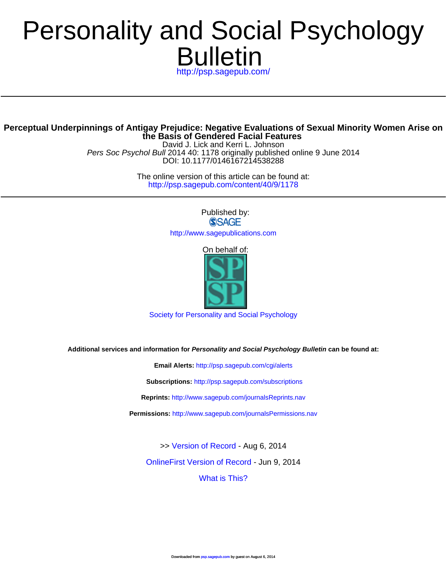# Bulletin Personality and Social Psychology

<http://psp.sagepub.com/>

# **the Basis of Gendered Facial Features Perceptual Underpinnings of Antigay Prejudice: Negative Evaluations of Sexual Minority Women Arise on**

DOI: 10.1177/0146167214538288 Pers Soc Psychol Bull 2014 40: 1178 originally published online 9 June 2014 David J. Lick and Kerri L. Johnson

> <http://psp.sagepub.com/content/40/9/1178> The online version of this article can be found at:

> > Published by:<br>
> > SAGE

<http://www.sagepublications.com>

On behalf of:



[Society for Personality and Social Psychology](http://www.spsp.org/)

**Additional services and information for Personality and Social Psychology Bulletin can be found at:**

**Email Alerts:** <http://psp.sagepub.com/cgi/alerts>

**Subscriptions:** <http://psp.sagepub.com/subscriptions>

**Reprints:** <http://www.sagepub.com/journalsReprints.nav>

**Permissions:** <http://www.sagepub.com/journalsPermissions.nav>

>> [Version of Record -](http://psp.sagepub.com/content/40/9/1178.full.pdf) Aug 6, 2014

[OnlineFirst Version of Record -](http://psp.sagepub.com/content/early/2014/06/05/0146167214538288.full.pdf) Jun 9, 2014

[What is This?](http://online.sagepub.com/site/sphelp/vorhelp.xhtml)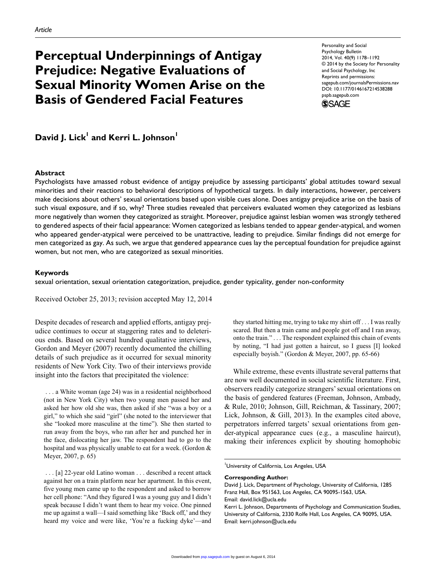# **Perceptual Underpinnings of Antigay Prejudice: Negative Evaluations of Sexual Minority Women Arise on the Basis of Gendered Facial Features**

Personality and Social Psychology Bulletin 2014, Vol. 40(9) 1178–1192 © 2014 by the Society for Personality and Social Psychology, Inc Reprints and permissions: sagepub.com/journalsPermissions.nav DOI: 10.1177/0146167214538288 pspb.sagepub.com



**David J. Lick<sup>I</sup> and Kerri L. Johnson<sup>I</sup>** 

#### **Abstract**

Psychologists have amassed robust evidence of antigay prejudice by assessing participants' global attitudes toward sexual minorities and their reactions to behavioral descriptions of hypothetical targets. In daily interactions, however, perceivers make decisions about others' sexual orientations based upon visible cues alone. Does antigay prejudice arise on the basis of such visual exposure, and if so, why? Three studies revealed that perceivers evaluated women they categorized as lesbians more negatively than women they categorized as straight. Moreover, prejudice against lesbian women was strongly tethered to gendered aspects of their facial appearance: Women categorized as lesbians tended to appear gender-atypical, and women who appeared gender-atypical were perceived to be unattractive, leading to prejudice. Similar findings did not emerge for men categorized as gay. As such, we argue that gendered appearance cues lay the perceptual foundation for prejudice against women, but not men, who are categorized as sexual minorities.

#### **Keywords**

sexual orientation, sexual orientation categorization, prejudice, gender typicality, gender non-conformity

Received October 25, 2013; revision accepted May 12, 2014

Despite decades of research and applied efforts, antigay prejudice continues to occur at staggering rates and to deleterious ends. Based on several hundred qualitative interviews, Gordon and Meyer (2007) recently documented the chilling details of such prejudice as it occurred for sexual minority residents of New York City. Two of their interviews provide insight into the factors that precipitated the violence:

 . . . a White woman (age 24) was in a residential neighborhood (not in New York City) when two young men passed her and asked her how old she was, then asked if she "was a boy or a girl," to which she said "girl" (she noted to the interviewer that she "looked more masculine at the time"). She then started to run away from the boys, who ran after her and punched her in the face, dislocating her jaw. The respondent had to go to the hospital and was physically unable to eat for a week. (Gordon & Meyer, 2007, p. 65)

 . . . [a] 22-year old Latino woman . . . described a recent attack against her on a train platform near her apartment. In this event, five young men came up to the respondent and asked to borrow her cell phone: "And they figured I was a young guy and I didn't speak because I didn't want them to hear my voice. One pinned me up against a wall—I said something like 'Back off,' and they heard my voice and were like, 'You're a fucking dyke'—and

they started hitting me, trying to take my shirt off . . . I was really scared. But then a train came and people got off and I ran away, onto the train." . . . The respondent explained this chain of events by noting, "I had just gotten a haircut, so I guess [I] looked especially boyish." (Gordon & Meyer, 2007, pp. 65-66)

While extreme, these events illustrate several patterns that are now well documented in social scientific literature. First, observers readily categorize strangers' sexual orientations on the basis of gendered features (Freeman, Johnson, Ambady, & Rule, 2010; Johnson, Gill, Reichman, & Tassinary, 2007; Lick, Johnson, & Gill, 2013). In the examples cited above, perpetrators inferred targets' sexual orientations from gender-atypical appearance cues (e.g., a masculine haircut), making their inferences explicit by shouting homophobic

University of California, Los Angeles, USA

#### **Corresponding Author:**

David J. Lick, Department of Psychology, University of California, 1285 Franz Hall, Box 951563, Los Angeles, CA 90095-1563, USA. Email: [david.lick@ucla.edu](mailto:david.lick@ucla.edu)

Kerri L. Johnson, Departments of Psychology and Communication Studies, University of California, 2330 Rolfe Hall, Los Angeles, CA 90095, USA. Email: [kerri.johnson@ucla.edu](mailto:kerri.johnson@ucla.edu)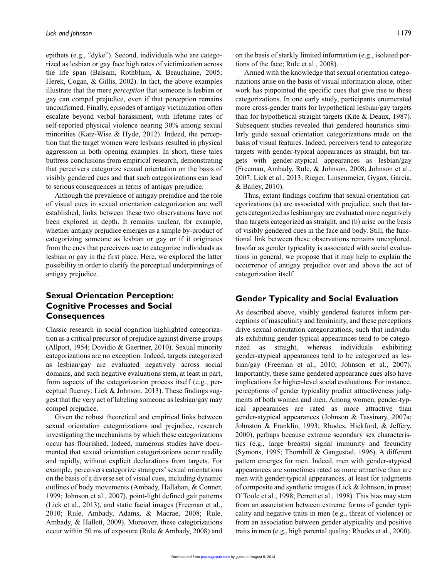epithets (e.g., "dyke"). Second, individuals who are categorized as lesbian or gay face high rates of victimization across the life span (Balsam, Rothblum, & Beauchaine, 2005; Herek, Cogan, & Gillis, 2002). In fact, the above examples illustrate that the mere *perception* that someone is lesbian or gay can compel prejudice, even if that perception remains unconfirmed. Finally, episodes of antigay victimization often escalate beyond verbal harassment, with lifetime rates of self-reported physical violence nearing 30% among sexual minorities (Katz-Wise & Hyde, 2012). Indeed, the perception that the target women were lesbians resulted in physical aggression in both opening examples. In short, these tales buttress conclusions from empirical research, demonstrating that perceivers categorize sexual orientation on the basis of visibly gendered cues and that such categorizations can lead to serious consequences in terms of antigay prejudice.

Although the prevalence of antigay prejudice and the role of visual cues in sexual orientation categorization are well established, links between these two observations have not been explored in depth. It remains unclear, for example, whether antigay prejudice emerges as a simple by-product of categorizing someone as lesbian or gay or if it originates from the cues that perceivers use to categorize individuals as lesbian or gay in the first place. Here, we explored the latter possibility in order to clarify the perceptual underpinnings of antigay prejudice.

# **Sexual Orientation Perception: Cognitive Processes and Social Consequences**

Classic research in social cognition highlighted categorization as a critical precursor of prejudice against diverse groups (Allport, 1954; Dovidio & Gaertner, 2010). Sexual minority categorizations are no exception. Indeed, targets categorized as lesbian/gay are evaluated negatively across social domains, and such negative evaluations stem, at least in part, from aspects of the categorization process itself (e.g., perceptual fluency; Lick & Johnson, 2013). These findings suggest that the very act of labeling someone as lesbian/gay may compel prejudice.

Given the robust theoretical and empirical links between sexual orientation categorizations and prejudice, research investigating the mechanisms by which these categorizations occur has flourished. Indeed, numerous studies have documented that sexual orientation categorizations occur readily and rapidly, without explicit declarations from targets. For example, perceivers categorize strangers' sexual orientations on the basis of a diverse set of visual cues, including dynamic outlines of body movements (Ambady, Hallahan, & Conner, 1999; Johnson et al., 2007), point-light defined gait patterns (Lick et al., 2013), and static facial images (Freeman et al., 2010; Rule, Ambady, Adams, & Macrae, 2008; Rule, Ambady, & Hallett, 2009). Moreover, these categorizations occur within 50 ms of exposure (Rule & Ambady, 2008) and

on the basis of starkly limited information (e.g., isolated portions of the face; Rule et al., 2008).

Armed with the knowledge that sexual orientation categorizations arise on the basis of visual information alone, other work has pinpointed the specific cues that give rise to these categorizations. In one early study, participants enumerated more cross-gender traits for hypothetical lesbian/gay targets than for hypothetical straight targets (Kite & Deaux, 1987). Subsequent studies revealed that gendered heuristics similarly guide sexual orientation categorizations made on the basis of visual features. Indeed, perceivers tend to categorize targets with gender-typical appearances as straight, but targets with gender-atypical appearances as lesbian/gay (Freeman, Ambady, Rule, & Johnson, 2008; Johnson et al., 2007; Lick et al., 2013; Rieger, Linsenmeier, Gygax, Garcia, & Bailey, 2010).

Thus, extant findings confirm that sexual orientation categorizations (a) are associated with prejudice, such that targets categorized as lesbian/gay are evaluated more negatively than targets categorized as straight, and (b) arise on the basis of visibly gendered cues in the face and body. Still, the functional link between these observations remains unexplored. Insofar as gender typicality is associated with social evaluations in general, we propose that it may help to explain the occurrence of antigay prejudice over and above the act of categorization itself.

# **Gender Typicality and Social Evaluation**

As described above, visibly gendered features inform perceptions of masculinity and femininity, and these perceptions drive sexual orientation categorizations, such that individuals exhibiting gender-typical appearances tend to be categorized as straight, whereas individuals exhibiting gender-atypical appearances tend to be categorized as lesbian/gay (Freeman et al., 2010; Johnson et al., 2007). Importantly, these same gendered appearance cues also have implications for higher-level social evaluations. For instance, perceptions of gender typicality predict attractiveness judgments of both women and men. Among women, gender-typical appearances are rated as more attractive than gender-atypical appearances (Johnson & Tassinary, 2007a; Johnston & Franklin, 1993; Rhodes, Hickford, & Jeffery, 2000), perhaps because extreme secondary sex characteristics (e.g., large breasts) signal immunity and fecundity (Symons, 1995; Thornhill & Gangestad, 1996). A different pattern emerges for men. Indeed, men with gender-atypical appearances are sometimes rated as more attractive than are men with gender-typical appearances, at least for judgments of composite and synthetic images (Lick & Johnson, in press; O'Toole et al., 1998; Perrett et al., 1998). This bias may stem from an association between extreme forms of gender typicality and negative traits in men (e.g., threat of violence) or from an association between gender atypicality and positive traits in men (e.g., high parental quality; Rhodes et al., 2000).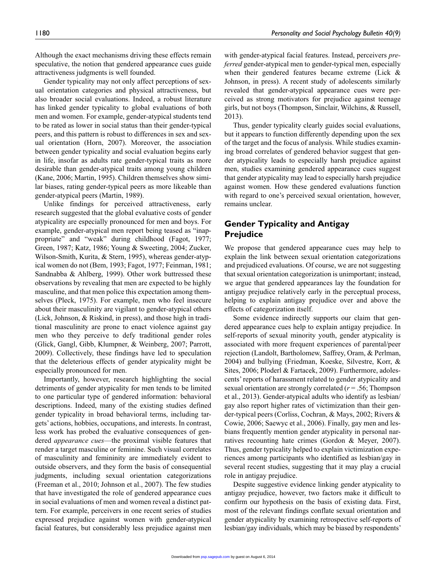Although the exact mechanisms driving these effects remain speculative, the notion that gendered appearance cues guide attractiveness judgments is well founded.

Gender typicality may not only affect perceptions of sexual orientation categories and physical attractiveness, but also broader social evaluations. Indeed, a robust literature has linked gender typicality to global evaluations of both men and women. For example, gender-atypical students tend to be rated as lower in social status than their gender-typical peers, and this pattern is robust to differences in sex and sexual orientation (Horn, 2007). Moreover, the association between gender typicality and social evaluation begins early in life, insofar as adults rate gender-typical traits as more desirable than gender-atypical traits among young children (Kane, 2006; Martin, 1995). Children themselves show similar biases, rating gender-typical peers as more likeable than gender-atypical peers (Martin, 1989).

Unlike findings for perceived attractiveness, early research suggested that the global evaluative costs of gender atypicality are especially pronounced for men and boys. For example, gender-atypical men report being teased as "inappropriate" and "weak" during childhood (Fagot, 1977; Green, 1987; Katz, 1986; Young & Sweeting, 2004; Zucker, Wilson-Smith, Kurita, & Stern, 1995), whereas gender-atypical women do not (Bem, 1993; Fagot, 1977; Feinman, 1981; Sandnabba & Ahlberg, 1999). Other work buttressed these observations by revealing that men are expected to be highly masculine, and that men police this expectation among themselves (Pleck, 1975). For example, men who feel insecure about their masculinity are vigilant to gender-atypical others (Lick, Johnson, & Riskind, in press), and those high in traditional masculinity are prone to enact violence against gay men who they perceive to defy traditional gender roles (Glick, Gangl, Gibb, Klumpner, & Weinberg, 2007; Parrott, 2009). Collectively, these findings have led to speculation that the deleterious effects of gender atypicality might be especially pronounced for men.

Importantly, however, research highlighting the social detriments of gender atypicality for men tends to be limited to one particular type of gendered information: behavioral descriptions. Indeed, many of the existing studies defined gender typicality in broad behavioral terms, including targets' actions, hobbies, occupations, and interests. In contrast, less work has probed the evaluative consequences of gendered *appearance cues*—the proximal visible features that render a target masculine or feminine. Such visual correlates of masculinity and femininity are immediately evident to outside observers, and they form the basis of consequential judgments, including sexual orientation categorizations (Freeman et al., 2010; Johnson et al., 2007). The few studies that have investigated the role of gendered appearance cues in social evaluations of men and women reveal a distinct pattern. For example, perceivers in one recent series of studies expressed prejudice against women with gender-atypical facial features, but considerably less prejudice against men

with gender-atypical facial features. Instead, perceivers *preferred* gender-atypical men to gender-typical men, especially when their gendered features became extreme (Lick & Johnson, in press). A recent study of adolescents similarly revealed that gender-atypical appearance cues were perceived as strong motivators for prejudice against teenage girls, but not boys (Thompson, Sinclair, Wilchins, & Russell, 2013).

Thus, gender typicality clearly guides social evaluations, but it appears to function differently depending upon the sex of the target and the focus of analysis. While studies examining broad correlates of gendered behavior suggest that gender atypicality leads to especially harsh prejudice against men, studies examining gendered appearance cues suggest that gender atypicality may lead to especially harsh prejudice against women. How these gendered evaluations function with regard to one's perceived sexual orientation, however, remains unclear.

# **Gender Typicality and Antigay Prejudice**

We propose that gendered appearance cues may help to explain the link between sexual orientation categorizations and prejudiced evaluations. Of course, we are not suggesting that sexual orientation categorization is unimportant; instead, we argue that gendered appearances lay the foundation for antigay prejudice relatively early in the perceptual process, helping to explain antigay prejudice over and above the effects of categorization itself.

Some evidence indirectly supports our claim that gendered appearance cues help to explain antigay prejudice. In self-reports of sexual minority youth, gender atypicality is associated with more frequent experiences of parental/peer rejection (Landolt, Bartholomew, Saffrey, Oram, & Perlman, 2004) and bullying (Friedman, Koeske, Silvestre, Korr, & Sites, 2006; Ploderl & Fartacek, 2009). Furthermore, adolescents' reports of harassment related to gender atypicality and sexual orientation are strongly correlated (*r* = .56; Thompson et al., 2013). Gender-atypical adults who identify as lesbian/ gay also report higher rates of victimization than their gender-typical peers (Corliss, Cochran, & Mays, 2002; Rivers & Cowie, 2006; Saewyc et al., 2006). Finally, gay men and lesbians frequently mention gender atypicality in personal narratives recounting hate crimes (Gordon & Meyer, 2007). Thus, gender typicality helped to explain victimization experiences among participants who identified as lesbian/gay in several recent studies, suggesting that it may play a crucial role in antigay prejudice.

Despite suggestive evidence linking gender atypicality to antigay prejudice, however, two factors make it difficult to confirm our hypothesis on the basis of existing data. First, most of the relevant findings conflate sexual orientation and gender atypicality by examining retrospective self-reports of lesbian/gay individuals, which may be biased by respondents'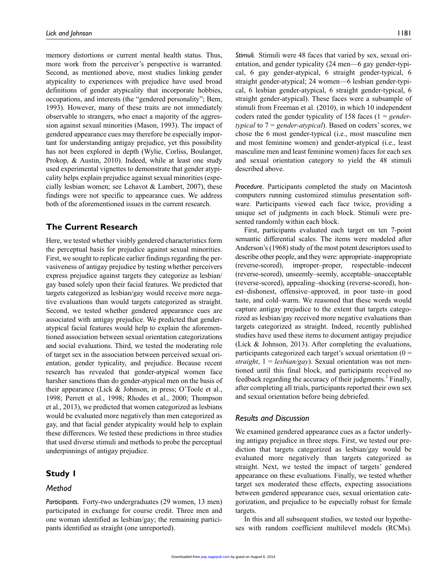memory distortions or current mental health status. Thus, more work from the perceiver's perspective is warranted. Second, as mentioned above, most studies linking gender atypicality to experiences with prejudice have used broad definitions of gender atypicality that incorporate hobbies, occupations, and interests (the "gendered personality"; Bem, 1993). However, many of these traits are not immediately observable to strangers, who enact a majority of the aggression against sexual minorities (Mason, 1993). The impact of gendered appearance cues may therefore be especially important for understanding antigay prejudice, yet this possibility has not been explored in depth (Wylie, Corliss, Boulanger, Prokop, & Austin, 2010). Indeed, while at least one study used experimental vignettes to demonstrate that gender atypicality helps explain prejudice against sexual minorities (especially lesbian women; see Lehavot & Lambert, 2007), these findings were not specific to appearance cues. We address both of the aforementioned issues in the current research.

# **The Current Research**

Here, we tested whether visibly gendered characteristics form the perceptual basis for prejudice against sexual minorities. First, we sought to replicate earlier findings regarding the pervasiveness of antigay prejudice by testing whether perceivers express prejudice against targets they categorize as lesbian/ gay based solely upon their facial features. We predicted that targets categorized as lesbian/gay would receive more negative evaluations than would targets categorized as straight. Second, we tested whether gendered appearance cues are associated with antigay prejudice. We predicted that genderatypical facial features would help to explain the aforementioned association between sexual orientation categorizations and social evaluations. Third, we tested the moderating role of target sex in the association between perceived sexual orientation, gender typicality, and prejudice. Because recent research has revealed that gender-atypical women face harsher sanctions than do gender-atypical men on the basis of their appearance (Lick & Johnson, in press; O'Toole et al., 1998; Perrett et al., 1998; Rhodes et al., 2000; Thompson et al., 2013), we predicted that women categorized as lesbians would be evaluated more negatively than men categorized as gay, and that facial gender atypicality would help to explain these differences. We tested these predictions in three studies that used diverse stimuli and methods to probe the perceptual underpinnings of antigay prejudice.

# **Study 1**

#### *Method*

*Participants.* Forty-two undergraduates (29 women, 13 men) participated in exchange for course credit. Three men and one woman identified as lesbian/gay; the remaining participants identified as straight (one unreported).

*Stimuli.* Stimuli were 48 faces that varied by sex, sexual orientation, and gender typicality (24 men—6 gay gender-typical, 6 gay gender-atypical, 6 straight gender-typical, 6 straight gender-atypical; 24 women—6 lesbian gender-typical, 6 lesbian gender-atypical, 6 straight gender-typical, 6 straight gender-atypical). These faces were a subsample of stimuli from Freeman et al. (2010), in which 10 independent coders rated the gender typicality of 158 faces (1 = *gendertypical* to 7 = *gender-atypical*). Based on coders' scores, we chose the 6 most gender-typical (i.e., most masculine men and most feminine women) and gender-atypical (i.e., least masculine men and least feminine women) faces for each sex and sexual orientation category to yield the 48 stimuli described above.

*Procedure.* Participants completed the study on Macintosh computers running customized stimulus presentation software. Participants viewed each face twice, providing a unique set of judgments in each block. Stimuli were presented randomly within each block.

First, participants evaluated each target on ten 7-point semantic differential scales. The items were modeled after Anderson's (1968) study of the most potent descriptors used to describe other people, and they were: appropriate–inappropriate (reverse-scored), improper–proper, respectable–indecent (reverse-scored), unseemly–seemly, acceptable–unacceptable (reverse-scored), appealing–shocking (reverse-scored), honest–dishonest, offensive–approved, in poor taste–in good taste, and cold–warm. We reasoned that these words would capture antigay prejudice to the extent that targets categorized as lesbian/gay received more negative evaluations than targets categorized as straight. Indeed, recently published studies have used these items to document antigay prejudice (Lick & Johnson, 2013). After completing the evaluations, participants categorized each target's sexual orientation  $(0 =$ *straight*, 1 = *lesbian/gay*). Sexual orientation was not mentioned until this final block, and participants received no feedback regarding the accuracy of their judgments.<sup>1</sup> Finally, after completing all trials, participants reported their own sex and sexual orientation before being debriefed.

#### *Results and Discussion*

We examined gendered appearance cues as a factor underlying antigay prejudice in three steps. First, we tested our prediction that targets categorized as lesbian/gay would be evaluated more negatively than targets categorized as straight. Next, we tested the impact of targets' gendered appearance on these evaluations. Finally, we tested whether target sex moderated these effects, expecting associations between gendered appearance cues, sexual orientation categorization, and prejudice to be especially robust for female targets.

In this and all subsequent studies, we tested our hypotheses with random coefficient multilevel models (RCMs).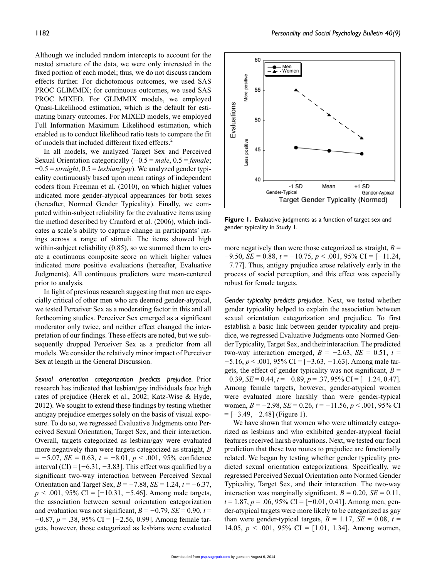Although we included random intercepts to account for the nested structure of the data, we were only interested in the fixed portion of each model; thus, we do not discuss random effects further. For dichotomous outcomes, we used SAS PROC GLIMMIX; for continuous outcomes, we used SAS PROC MIXED. For GLIMMIX models, we employed Quasi-Likelihood estimation, which is the default for estimating binary outcomes. For MIXED models, we employed Full Information Maximum Likelihood estimation, which enabled us to conduct likelihood ratio tests to compare the fit of models that included different fixed effects.<sup>2</sup>

In all models, we analyzed Target Sex and Perceived Sexual Orientation categorically (*−*0.5 = *male*, 0.5 = *female*; −0.5 = *straight*, 0.5 = *lesbian/gay*). We analyzed gender typicality continuously based upon mean ratings of independent coders from Freeman et al. (2010), on which higher values indicated more gender-atypical appearances for both sexes (hereafter, Normed Gender Typicality). Finally, we computed within-subject reliability for the evaluative items using the method described by Cranford et al. (2006), which indicates a scale's ability to capture change in participants' ratings across a range of stimuli. The items showed high within-subject reliability  $(0.85)$ , so we summed them to create a continuous composite score on which higher values indicated more positive evaluations (hereafter, Evaluative Judgments). All continuous predictors were mean-centered prior to analysis.

In light of previous research suggesting that men are especially critical of other men who are deemed gender-atypical, we tested Perceiver Sex as a moderating factor in this and all forthcoming studies. Perceiver Sex emerged as a significant moderator only twice, and neither effect changed the interpretation of our findings. These effects are noted, but we subsequently dropped Perceiver Sex as a predictor from all models. We consider the relatively minor impact of Perceiver Sex at length in the General Discussion.

*Sexual orientation categorization predicts prejudice.* Prior research has indicated that lesbian/gay individuals face high rates of prejudice (Herek et al., 2002; Katz-Wise & Hyde, 2012). We sought to extend these findings by testing whether antigay prejudice emerges solely on the basis of visual exposure. To do so, we regressed Evaluative Judgments onto Perceived Sexual Orientation, Target Sex, and their interaction. Overall, targets categorized as lesbian/gay were evaluated more negatively than were targets categorized as straight, *B* = *−*5.07, *SE* = 0.63, *t* = *−*8.01, *p* < .001, 95% confidence interval (CI) = [*−*6.31, *−*3.83]. This effect was qualified by a significant two-way interaction between Perceived Sexual Orientation and Target Sex, *B* = *−*7.88, *SE* = 1.24, *t* = *−*6.37, *p* < .001, 95% CI = [−10.31, −5.46]. Among male targets, the association between sexual orientation categorization and evaluation was not significant,  $B = -0.79$ ,  $SE = 0.90$ ,  $t =$ *−*0.87, *p* = .38, 95% CI = [*−*2.56, 0.99]. Among female targets, however, those categorized as lesbians were evaluated



**Figure 1.** Evaluative judgments as a function of target sex and gender typicality in Study 1.

more negatively than were those categorized as straight,  $B =$ *−*9.50, *SE* = 0.88, *t* = *−*10.75, *p* < .001, 95% CI = [*−*11.24, *−*7.77]. Thus, antigay prejudice arose relatively early in the process of social perception, and this effect was especially robust for female targets.

*Gender typicality predicts prejudice.* Next, we tested whether gender typicality helped to explain the association between sexual orientation categorization and prejudice. To first establish a basic link between gender typicality and prejudice, we regressed Evaluative Judgments onto Normed Gender Typicality, Target Sex, and their interaction. The predicted two-way interaction emerged,  $B = -2.63$ ,  $SE = 0.51$ ,  $t =$ *−*5.16, *p* < .001, 95% CI = [*−*3.63, *−*1.63]. Among male targets, the effect of gender typicality was not significant,  $B =$ *−*0.39, *SE* = 0.44, *t* = *−*0.89, *p* = .37, 95% CI = [*−*1.24, 0.47]. Among female targets, however, gender-atypical women were evaluated more harshly than were gender-typical women, *B* = *−*2.98, *SE* = 0.26, *t* = *−*11.56, *p* < .001, 95% CI = [*−*3.49, *−*2.48] (Figure 1).

We have shown that women who were ultimately categorized as lesbians and who exhibited gender-atypical facial features received harsh evaluations. Next, we tested our focal prediction that these two routes to prejudice are functionally related. We began by testing whether gender typicality predicted sexual orientation categorizations. Specifically, we regressed Perceived Sexual Orientation onto Normed Gender Typicality, Target Sex, and their interaction. The two-way interaction was marginally significant,  $B = 0.20$ ,  $SE = 0.11$ , *t* = 1.87, *p* = .06, 95% CI = [−0.01, 0.41]. Among men, gender-atypical targets were more likely to be categorized as gay than were gender-typical targets,  $B = 1.17$ ,  $SE = 0.08$ ,  $t =$ 14.05,  $p < .001$ , 95% CI = [1.01, 1.34]. Among women,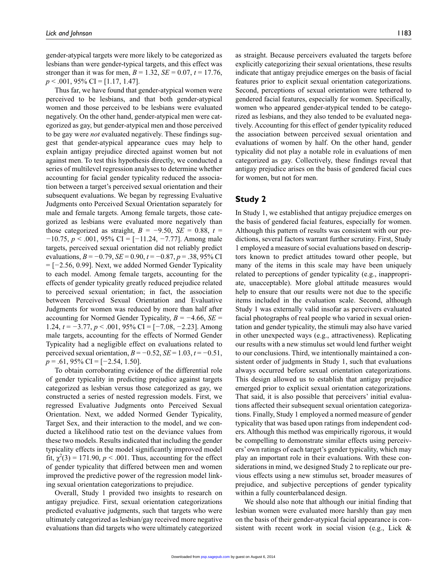gender-atypical targets were more likely to be categorized as lesbians than were gender-typical targets, and this effect was stronger than it was for men,  $B = 1.32$ ,  $SE = 0.07$ ,  $t = 17.76$ , *p* < .001, 95% CI = [1.17, 1.47].

Thus far, we have found that gender-atypical women were perceived to be lesbians, and that both gender-atypical women and those perceived to be lesbians were evaluated negatively. On the other hand, gender-atypical men were categorized as gay, but gender-atypical men and those perceived to be gay were *not* evaluated negatively. These findings suggest that gender-atypical appearance cues may help to explain antigay prejudice directed against women but not against men. To test this hypothesis directly, we conducted a series of multilevel regression analyses to determine whether accounting for facial gender typicality reduced the association between a target's perceived sexual orientation and their subsequent evaluations. We began by regressing Evaluative Judgments onto Perceived Sexual Orientation separately for male and female targets. Among female targets, those categorized as lesbians were evaluated more negatively than those categorized as straight,  $B = -9.50$ ,  $SE = 0.88$ ,  $t =$ *−*10.75, *p* < .001, 95% CI = [*−*11.24, *−*7.77]. Among male targets, perceived sexual orientation did not reliably predict evaluations,  $B = -0.79$ ,  $SE = 0.90$ ,  $t = -0.87$ ,  $p = .38$ , 95% CI = [*−*2.56, 0.99]. Next, we added Normed Gender Typicality to each model. Among female targets, accounting for the effects of gender typicality greatly reduced prejudice related to perceived sexual orientation; in fact, the association between Perceived Sexual Orientation and Evaluative Judgments for women was reduced by more than half after accounting for Normed Gender Typicality, *B* = *−*4.66, *SE* = 1.24, *t* = *−*3.77, *p* < .001, 95% CI = [*−*7.08, *−*2.23]. Among male targets, accounting for the effects of Normed Gender Typicality had a negligible effect on evaluations related to perceived sexual orientation, *B* = *−*0.52, *SE* = 1.03, *t* = *−*0.51, *p* = .61, 95% CI = [−2.54, 1.50].

To obtain corroborating evidence of the differential role of gender typicality in predicting prejudice against targets categorized as lesbian versus those categorized as gay, we constructed a series of nested regression models. First, we regressed Evaluative Judgments onto Perceived Sexual Orientation. Next, we added Normed Gender Typicality, Target Sex, and their interaction to the model, and we conducted a likelihood ratio test on the deviance values from these two models. Results indicated that including the gender typicality effects in the model significantly improved model fit,  $\chi^2(3) = 171.90$ ,  $p < .001$ . Thus, accounting for the effect of gender typicality that differed between men and women improved the predictive power of the regression model linking sexual orientation categorizations to prejudice.

Overall, Study 1 provided two insights to research on antigay prejudice. First, sexual orientation categorizations predicted evaluative judgments, such that targets who were ultimately categorized as lesbian/gay received more negative evaluations than did targets who were ultimately categorized

as straight. Because perceivers evaluated the targets before explicitly categorizing their sexual orientations, these results indicate that antigay prejudice emerges on the basis of facial features prior to explicit sexual orientation categorizations. Second, perceptions of sexual orientation were tethered to gendered facial features, especially for women. Specifically, women who appeared gender-atypical tended to be categorized as lesbians, and they also tended to be evaluated negatively. Accounting for this effect of gender typicality reduced the association between perceived sexual orientation and evaluations of women by half. On the other hand, gender typicality did not play a notable role in evaluations of men categorized as gay. Collectively, these findings reveal that antigay prejudice arises on the basis of gendered facial cues for women, but not for men.

# **Study 2**

In Study 1, we established that antigay prejudice emerges on the basis of gendered facial features, especially for women. Although this pattern of results was consistent with our predictions, several factors warrant further scrutiny. First, Study 1 employed a measure of social evaluations based on descriptors known to predict attitudes toward other people, but many of the items in this scale may have been uniquely related to perceptions of gender typicality (e.g., inappropriate, unacceptable). More global attitude measures would help to ensure that our results were not due to the specific items included in the evaluation scale. Second, although Study 1 was externally valid insofar as perceivers evaluated facial photographs of real people who varied in sexual orientation and gender typicality, the stimuli may also have varied in other unexpected ways (e.g., attractiveness). Replicating our results with a new stimulus set would lend further weight to our conclusions. Third, we intentionally maintained a consistent order of judgments in Study 1, such that evaluations always occurred before sexual orientation categorizations. This design allowed us to establish that antigay prejudice emerged prior to explicit sexual orientation categorizations. That said, it is also possible that perceivers' initial evaluations affected their subsequent sexual orientation categorizations. Finally, Study 1 employed a normed measure of gender typicality that was based upon ratings from independent coders. Although this method was empirically rigorous, it would be compelling to demonstrate similar effects using perceivers' own ratings of each target's gender typicality, which may play an important role in their evaluations. With these considerations in mind, we designed Study 2 to replicate our previous effects using a new stimulus set, broader measures of prejudice, and subjective perceptions of gender typicality within a fully counterbalanced design.

We should also note that although our initial finding that lesbian women were evaluated more harshly than gay men on the basis of their gender-atypical facial appearance is consistent with recent work in social vision (e.g., Lick &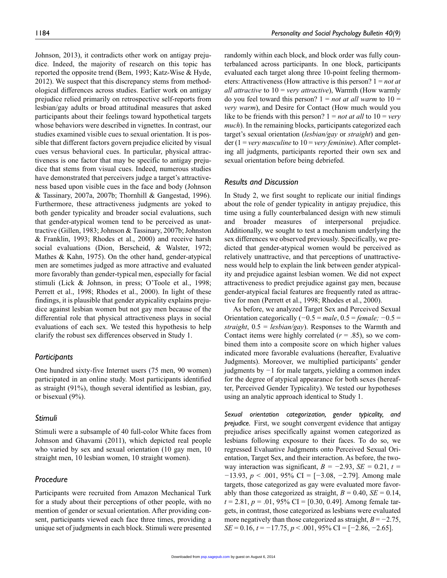Johnson, 2013), it contradicts other work on antigay prejudice. Indeed, the majority of research on this topic has reported the opposite trend (Bem, 1993; Katz-Wise & Hyde, 2012). We suspect that this discrepancy stems from methodological differences across studies. Earlier work on antigay prejudice relied primarily on retrospective self-reports from lesbian/gay adults or broad attitudinal measures that asked participants about their feelings toward hypothetical targets whose behaviors were described in vignettes. In contrast, our studies examined visible cues to sexual orientation. It is possible that different factors govern prejudice elicited by visual cues versus behavioral cues. In particular, physical attractiveness is one factor that may be specific to antigay prejudice that stems from visual cues. Indeed, numerous studies have demonstrated that perceivers judge a target's attractiveness based upon visible cues in the face and body (Johnson & Tassinary, 2007a, 2007b; Thornhill & Gangestad, 1996). Furthermore, these attractiveness judgments are yoked to both gender typicality and broader social evaluations, such that gender-atypical women tend to be perceived as unattractive (Gillen, 1983; Johnson & Tassinary, 2007b; Johnston & Franklin, 1993; Rhodes et al., 2000) and receive harsh social evaluations (Dion, Berscheid, & Walster, 1972; Mathes & Kahn, 1975). On the other hand, gender-atypical men are sometimes judged as more attractive and evaluated more favorably than gender-typical men, especially for facial stimuli (Lick & Johnson, in press; O'Toole et al., 1998; Perrett et al., 1998; Rhodes et al., 2000). In light of these findings, it is plausible that gender atypicality explains prejudice against lesbian women but not gay men because of the differential role that physical attractiveness plays in social evaluations of each sex. We tested this hypothesis to help clarify the robust sex differences observed in Study 1.

#### *Participants*

One hundred sixty-five Internet users (75 men, 90 women) participated in an online study. Most participants identified as straight (91%), though several identified as lesbian, gay, or bisexual (9%).

#### *Stimuli*

Stimuli were a subsample of 40 full-color White faces from Johnson and Ghavami (2011), which depicted real people who varied by sex and sexual orientation (10 gay men, 10 straight men, 10 lesbian women, 10 straight women).

#### *Procedure*

Participants were recruited from Amazon Mechanical Turk for a study about their perceptions of other people, with no mention of gender or sexual orientation. After providing consent, participants viewed each face three times, providing a unique set of judgments in each block. Stimuli were presented

randomly within each block, and block order was fully counterbalanced across participants. In one block, participants evaluated each target along three 10-point feeling thermometers: Attractiveness (How attractive is this person? 1 = *not at all attractive* to 10 = *very attractive*), Warmth (How warmly do you feel toward this person? 1 = *not at all warm* to 10 = *very warm*), and Desire for Contact (How much would you like to be friends with this person?  $1 = not at all$  to  $10 = very$ *much*). In the remaining blocks, participants categorized each target's sexual orientation (*lesbian/gay* or *straight*) and gender (1 = *very masculine* to 10 = *very feminine*). After completing all judgments, participants reported their own sex and sexual orientation before being debriefed.

#### *Results and Discussion*

In Study 2, we first sought to replicate our initial findings about the role of gender typicality in antigay prejudice, this time using a fully counterbalanced design with new stimuli and broader measures of interpersonal prejudice. Additionally, we sought to test a mechanism underlying the sex differences we observed previously. Specifically, we predicted that gender-atypical women would be perceived as relatively unattractive, and that perceptions of unattractiveness would help to explain the link between gender atypicality and prejudice against lesbian women. We did not expect attractiveness to predict prejudice against gay men, because gender-atypical facial features are frequently rated as attractive for men (Perrett et al., 1998; Rhodes et al., 2000).

As before, we analyzed Target Sex and Perceived Sexual Orientation categorically (*−*0.5 = *male*, 0.5 = *female; −*0.5 = *straight*, 0.5 = *lesbian/gay*). Responses to the Warmth and Contact items were highly correlated  $(r = .85)$ , so we combined them into a composite score on which higher values indicated more favorable evaluations (hereafter, Evaluative Judgments). Moreover, we multiplied participants' gender judgments by *−*1 for male targets, yielding a common index for the degree of atypical appearance for both sexes (hereafter, Perceived Gender Typicality). We tested our hypotheses using an analytic approach identical to Study 1.

*Sexual orientation categorization, gender typicality, and prejudice.* First, we sought convergent evidence that antigay prejudice arises specifically against women categorized as lesbians following exposure to their faces. To do so, we regressed Evaluative Judgments onto Perceived Sexual Orientation, Target Sex, and their interaction. As before, the twoway interaction was significant, *B = −*2.93, *SE =* 0.21, *t = −*13.93, *p* < .001, 95% CI = [*−*3.08, *−*2.79]. Among male targets, those categorized as gay were evaluated more favorably than those categorized as straight,  $B = 0.40$ ,  $SE = 0.14$ , *t* = 2.81, *p* = .01, 95% CI = [0.30, 0.49]. Among female targets, in contrast, those categorized as lesbians were evaluated more negatively than those categorized as straight,  $B = -2.75$ , *SE* = 0.16, *t* = *−*17.75, *p* < .001, 95% CI = [*−*2.86, *−*2.65].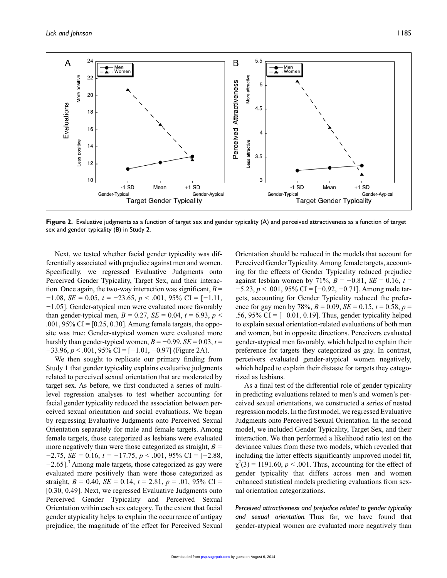

**Figure 2.** Evaluative judgments as a function of target sex and gender typicality (A) and perceived attractiveness as a function of target sex and gender typicality (B) in Study 2.

Next, we tested whether facial gender typicality was differentially associated with prejudice against men and women. Specifically, we regressed Evaluative Judgments onto Perceived Gender Typicality, Target Sex, and their interaction. Once again, the two-way interaction was significant,  $B =$ *−*1.08, *SE* = 0.05, *t* = *−*23.65, *p* < .001, 95% CI = [*−*1.11, *−*1.05]. Gender-atypical men were evaluated more favorably than gender-typical men,  $B = 0.27$ ,  $SE = 0.04$ ,  $t = 6.93$ ,  $p <$ .001,  $95\%$  CI = [0.25, 0.30]. Among female targets, the opposite was true: Gender-atypical women were evaluated more harshly than gender-typical women,  $B = -0.99$ ,  $SE = 0.03$ ,  $t =$ *−*33.96, *p* < .001, 95% CI = [*−*1.01, *−*0.97] (Figure 2A).

We then sought to replicate our primary finding from Study 1 that gender typicality explains evaluative judgments related to perceived sexual orientation that are moderated by target sex. As before, we first conducted a series of multilevel regression analyses to test whether accounting for facial gender typicality reduced the association between perceived sexual orientation and social evaluations. We began by regressing Evaluative Judgments onto Perceived Sexual Orientation separately for male and female targets. Among female targets, those categorized as lesbians were evaluated more negatively than were those categorized as straight, *B = −*2.75, *SE =* 0.16, *t = −*17.75, *p* < .001, 95% CI = [*−*2.88, *−*2.65].3 Among male targets, those categorized as gay were evaluated more positively than were those categorized as straight,  $B = 0.40$ ,  $SE = 0.14$ ,  $t = 2.81$ ,  $p = .01$ , 95% CI = [0.30, 0.49]. Next, we regressed Evaluative Judgments onto Perceived Gender Typicality and Perceived Sexual Orientation within each sex category. To the extent that facial gender atypicality helps to explain the occurrence of antigay prejudice, the magnitude of the effect for Perceived Sexual

Orientation should be reduced in the models that account for Perceived Gender Typicality. Among female targets, accounting for the effects of Gender Typicality reduced prejudice against lesbian women by 71%,  $B = -0.81$ ,  $SE = 0.16$ ,  $t =$ *−*5.23, *p* < .001, 95% CI = [*−*0.92, *−*0.71]. Among male targets, accounting for Gender Typicality reduced the preference for gay men by 78%,  $B = 0.09$ ,  $SE = 0.15$ ,  $t = 0.58$ ,  $p =$ .56, 95% CI = [*−*0.01, 0.19]. Thus, gender typicality helped to explain sexual orientation-related evaluations of both men and women, but in opposite directions. Perceivers evaluated gender-atypical men favorably, which helped to explain their preference for targets they categorized as gay. In contrast, perceivers evaluated gender-atypical women negatively, which helped to explain their distaste for targets they categorized as lesbians.

As a final test of the differential role of gender typicality in predicting evaluations related to men's and women's perceived sexual orientations, we constructed a series of nested regression models. In the first model, we regressed Evaluative Judgments onto Perceived Sexual Orientation. In the second model, we included Gender Typicality, Target Sex, and their interaction. We then performed a likelihood ratio test on the deviance values from these two models, which revealed that including the latter effects significantly improved model fit,  $\chi^2(3) = 1191.60, p < .001$ . Thus, accounting for the effect of gender typicality that differs across men and women enhanced statistical models predicting evaluations from sexual orientation categorizations.

*Perceived attractiveness and prejudice related to gender typicality and sexual orientation.* Thus far, we have found that gender-atypical women are evaluated more negatively than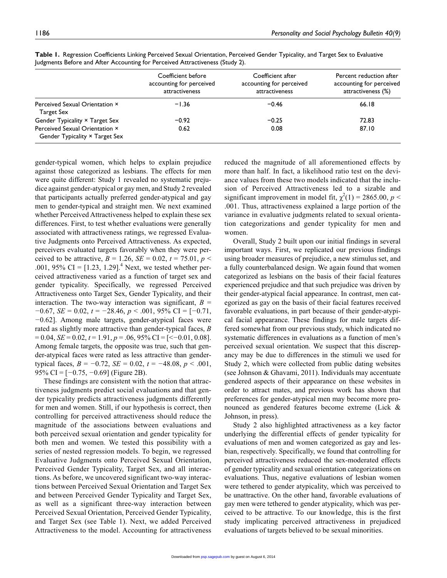|                                                                  | Coefficient before<br>accounting for perceived<br>attractiveness | Coefficient after<br>accounting for perceived<br>attractiveness | Percent reduction after<br>accounting for perceived<br>attractiveness (%) |
|------------------------------------------------------------------|------------------------------------------------------------------|-----------------------------------------------------------------|---------------------------------------------------------------------------|
| Perceived Sexual Orientation ×<br>Target Sex                     | $-1.36$                                                          | $-0.46$                                                         | 66.18                                                                     |
| Gender Typicality × Target Sex                                   | $-0.92$                                                          | $-0.25$                                                         | 72.83                                                                     |
| Perceived Sexual Orientation ×<br>Gender Typicality × Target Sex | 0.62                                                             | 0.08                                                            | 87.10                                                                     |

**Table 1.** Regression Coefficients Linking Perceived Sexual Orientation, Perceived Gender Typicality, and Target Sex to Evaluative Judgments Before and After Accounting for Perceived Attractiveness (Study 2).

gender-typical women, which helps to explain prejudice against those categorized as lesbians. The effects for men were quite different: Study 1 revealed no systematic prejudice against gender-atypical or gay men, and Study 2 revealed that participants actually preferred gender-atypical and gay men to gender-typical and straight men. We next examined whether Perceived Attractiveness helped to explain these sex differences. First, to test whether evaluations were generally associated with attractiveness ratings, we regressed Evaluative Judgments onto Perceived Attractiveness. As expected, perceivers evaluated targets favorably when they were perceived to be attractive,  $B = 1.26$ ,  $SE = 0.02$ ,  $t = 75.01$ ,  $p <$ .001, 95% CI =  $[1.23, 1.29]$ .<sup>4</sup> Next, we tested whether perceived attractiveness varied as a function of target sex and gender typicality. Specifically, we regressed Perceived Attractiveness onto Target Sex, Gender Typicality, and their interaction. The two-way interaction was significant,  $B =$ *−*0.67, *SE* = 0.02, *t* = *−*28.46, *p* < .001, 95% CI = [*−*0.71, *−*0.62]. Among male targets, gender-atypical faces were rated as slightly more attractive than gender-typical faces, *B* = 0.04, *SE* = 0.02, *t* = 1.91, *p* = .06, 95% CI = [<*−*0.01, 0.08]. Among female targets, the opposite was true, such that gender-atypical faces were rated as less attractive than gendertypical faces,  $B = -0.72$ ,  $SE = 0.02$ ,  $t = -48.08$ ,  $p < .001$ , 95% CI = [*−*0.75, *−*0.69] (Figure 2B).

These findings are consistent with the notion that attractiveness judgments predict social evaluations and that gender typicality predicts attractiveness judgments differently for men and women. Still, if our hypothesis is correct, then controlling for perceived attractiveness should reduce the magnitude of the associations between evaluations and both perceived sexual orientation and gender typicality for both men and women. We tested this possibility with a series of nested regression models. To begin, we regressed Evaluative Judgments onto Perceived Sexual Orientation, Perceived Gender Typicality, Target Sex, and all interactions. As before, we uncovered significant two-way interactions between Perceived Sexual Orientation and Target Sex and between Perceived Gender Typicality and Target Sex, as well as a significant three-way interaction between Perceived Sexual Orientation, Perceived Gender Typicality, and Target Sex (see Table 1). Next, we added Perceived Attractiveness to the model. Accounting for attractiveness

reduced the magnitude of all aforementioned effects by more than half. In fact, a likelihood ratio test on the deviance values from these two models indicated that the inclusion of Perceived Attractiveness led to a sizable and significant improvement in model fit,  $\chi^2(1) = 2865.00, p <$ .001. Thus, attractiveness explained a large portion of the variance in evaluative judgments related to sexual orientation categorizations and gender typicality for men and women.

Overall, Study 2 built upon our initial findings in several important ways. First, we replicated our previous findings using broader measures of prejudice, a new stimulus set, and a fully counterbalanced design. We again found that women categorized as lesbians on the basis of their facial features experienced prejudice and that such prejudice was driven by their gender-atypical facial appearance. In contrast, men categorized as gay on the basis of their facial features received favorable evaluations, in part because of their gender-atypical facial appearance. These findings for male targets differed somewhat from our previous study, which indicated no systematic differences in evaluations as a function of men's perceived sexual orientation. We suspect that this discrepancy may be due to differences in the stimuli we used for Study 2, which were collected from public dating websites (see Johnson & Ghavami, 2011). Individuals may accentuate gendered aspects of their appearance on these websites in order to attract mates, and previous work has shown that preferences for gender-atypical men may become more pronounced as gendered features become extreme (Lick & Johnson, in press).

Study 2 also highlighted attractiveness as a key factor underlying the differential effects of gender typicality for evaluations of men and women categorized as gay and lesbian, respectively. Specifically, we found that controlling for perceived attractiveness reduced the sex-moderated effects of gender typicality and sexual orientation categorizations on evaluations. Thus, negative evaluations of lesbian women were tethered to gender atypicality, which was perceived to be unattractive. On the other hand, favorable evaluations of gay men were tethered to gender atypicality, which was perceived to be attractive. To our knowledge, this is the first study implicating perceived attractiveness in prejudiced evaluations of targets believed to be sexual minorities.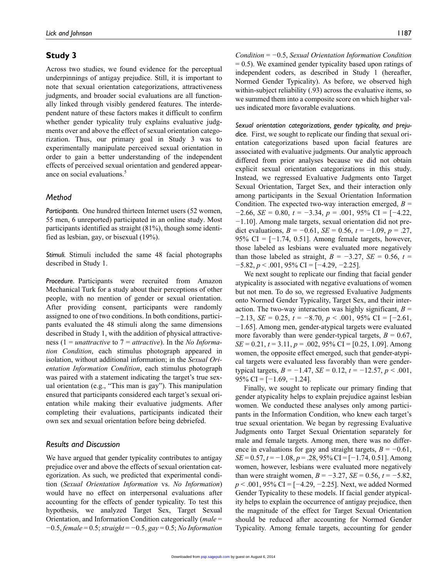# **Study 3**

Across two studies, we found evidence for the perceptual underpinnings of antigay prejudice. Still, it is important to note that sexual orientation categorizations, attractiveness judgments, and broader social evaluations are all functionally linked through visibly gendered features. The interdependent nature of these factors makes it difficult to confirm whether gender typicality truly explains evaluative judgments over and above the effect of sexual orientation categorization. Thus, our primary goal in Study 3 was to experimentally manipulate perceived sexual orientation in order to gain a better understanding of the independent effects of perceived sexual orientation and gendered appearance on social evaluations.<sup>5</sup>

#### *Method*

*Participants.* One hundred thirteen Internet users (52 women, 55 men, 6 unreported) participated in an online study. Most participants identified as straight (81%), though some identified as lesbian, gay, or bisexual (19%).

*Stimuli.* Stimuli included the same 48 facial photographs described in Study 1.

*Procedure.* Participants were recruited from Amazon Mechanical Turk for a study about their perceptions of other people, with no mention of gender or sexual orientation. After providing consent, participants were randomly assigned to one of two conditions. In both conditions, participants evaluated the 48 stimuli along the same dimensions described in Study 1, with the addition of physical attractiveness (1 = *unattractive* to 7 = *attractive*). In the *No Information Condition*, each stimulus photograph appeared in isolation, without additional information; in the *Sexual Orientation Information Condition*, each stimulus photograph was paired with a statement indicating the target's true sexual orientation (e.g., "This man is gay"). This manipulation ensured that participants considered each target's sexual orientation while making their evaluative judgments. After completing their evaluations, participants indicated their own sex and sexual orientation before being debriefed.

#### *Results and Discussion*

We have argued that gender typicality contributes to antigay prejudice over and above the effects of sexual orientation categorization. As such, we predicted that experimental condition (*Sexual Orientation Information* vs. *No Information*) would have no effect on interpersonal evaluations after accounting for the effects of gender typicality. To test this hypothesis, we analyzed Target Sex, Target Sexual Orientation, and Information Condition categorically (*male* = *−*0.5, *female* = 0.5; *straight* = *−*0.5, *gay* = 0.5; *No Information* 

*Condition* = *−*0.5, *Sexual Orientation Information Condition*  $= 0.5$ ). We examined gender typicality based upon ratings of independent coders, as described in Study 1 (hereafter, Normed Gender Typicality). As before, we observed high within-subject reliability (.93) across the evaluative items, so we summed them into a composite score on which higher values indicated more favorable evaluations.

*Sexual orientation categorizations, gender typicality, and prejudice.* First, we sought to replicate our finding that sexual orientation categorizations based upon facial features are associated with evaluative judgments. Our analytic approach differed from prior analyses because we did not obtain explicit sexual orientation categorizations in this study. Instead, we regressed Evaluative Judgments onto Target Sexual Orientation, Target Sex, and their interaction only among participants in the Sexual Orientation Information Condition. The expected two-way interaction emerged,  $B =$ *−*2.66, *SE* = 0.80, *t* = *−*3.34, *p* = .001, 95% CI = [*−*4.22, *−*1.10]. Among male targets, sexual orientation did not predict evaluations,  $B = -0.61$ ,  $SE = 0.56$ ,  $t = -1.09$ ,  $p = .27$ , 95% CI = [*−*1.74, 0.51]. Among female targets, however, those labeled as lesbians were evaluated more negatively than those labeled as straight,  $B = -3.27$ ,  $SE = 0.56$ ,  $t =$ *−*5.82, *p* < .001, 95% CI = [*−*4.29, *−*2.25].

We next sought to replicate our finding that facial gender atypicality is associated with negative evaluations of women but not men. To do so, we regressed Evaluative Judgments onto Normed Gender Typicality, Target Sex, and their interaction. The two-way interaction was highly significant,  $B =$ *−*2.13, *SE* = 0.25, *t* = *−*8.70, *p* < .001, 95% CI = [*−*2.61, *−*1.65]. Among men, gender-atypical targets were evaluated more favorably than were gender-typical targets,  $B = 0.67$ , *SE* = 0.21, *t* = 3.11, *p* = .002, 95% CI = [0.25, 1.09]. Among women, the opposite effect emerged, such that gender-atypical targets were evaluated less favorably than were gendertypical targets,  $B = -1.47$ ,  $SE = 0.12$ ,  $t = -12.57$ ,  $p < .001$ , 95% CI = [*−*1.69, *−*1.24].

Finally, we sought to replicate our primary finding that gender atypicality helps to explain prejudice against lesbian women. We conducted these analyses only among participants in the Information Condition, who knew each target's true sexual orientation. We began by regressing Evaluative Judgments onto Target Sexual Orientation separately for male and female targets. Among men, there was no difference in evaluations for gay and straight targets,  $B = -0.61$ , *SE* = 0.57, *t* = *−*1.08, *p* = .28, 95% CI = [*−*1.74, 0.51]. Among women, however, lesbians were evaluated more negatively than were straight women,  $B = -3.27$ ,  $SE = 0.56$ ,  $t = -5.82$ , *p* < .001, 95% CI = [−4.29, −2.25]. Next, we added Normed Gender Typicality to these models. If facial gender atypicality helps to explain the occurrence of antigay prejudice, then the magnitude of the effect for Target Sexual Orientation should be reduced after accounting for Normed Gender Typicality. Among female targets, accounting for gender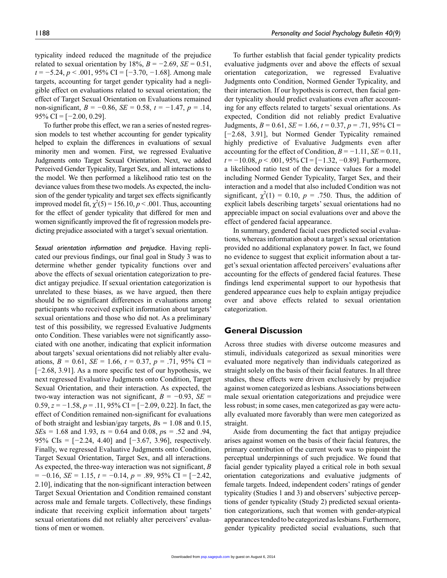typicality indeed reduced the magnitude of the prejudice related to sexual orientation by  $18\%, B = -2.69, SE = 0.51,$ *t* = *−*5.24, *p* < .001, 95% CI = [*−*3.70, *−*1.68]. Among male targets, accounting for target gender typicality had a negligible effect on evaluations related to sexual orientation; the effect of Target Sexual Orientation on Evaluations remained non-significant, *B* = *−*0.86, *SE* = 0.58, *t* = *−*1.47, *p* = .14, 95% CI = [*−*2.00, 0.29].

To further probe this effect, we ran a series of nested regression models to test whether accounting for gender typicality helped to explain the differences in evaluations of sexual minority men and women. First, we regressed Evaluative Judgments onto Target Sexual Orientation. Next, we added Perceived Gender Typicality, Target Sex, and all interactions to the model. We then performed a likelihood ratio test on the deviance values from these two models. As expected, the inclusion of the gender typicality and target sex effects significantly improved model fit,  $\chi^2(5) = 156.10, p < .001$ . Thus, accounting for the effect of gender typicality that differed for men and women significantly improved the fit of regression models predicting prejudice associated with a target's sexual orientation.

*Sexual orientation information and prejudice.* Having replicated our previous findings, our final goal in Study 3 was to determine whether gender typicality functions over and above the effects of sexual orientation categorization to predict antigay prejudice. If sexual orientation categorization is unrelated to these biases, as we have argued, then there should be no significant differences in evaluations among participants who received explicit information about targets' sexual orientations and those who did not. As a preliminary test of this possibility, we regressed Evaluative Judgments onto Condition. These variables were not significantly associated with one another, indicating that explicit information about targets' sexual orientations did not reliably alter evaluations,  $B = 0.61$ ,  $SE = 1.66$ ,  $t = 0.37$ ,  $p = .71$ , 95% CI = [−2.68, 3.91]. As a more specific test of our hypothesis, we next regressed Evaluative Judgments onto Condition, Target Sexual Orientation, and their interaction. As expected, the two-way interaction was not significant,  $B = -0.93$ ,  $SE =$ 0.59, *z* = *−*1.58, *p* = .11, 95% CI = [*−*2.09, 0.22]. In fact, the effect of Condition remained non-significant for evaluations of both straight and lesbian/gay targets, *B*s *=* 1.08 and 0.15, *SE*s *=* 1.68 and 1.93, *t*s *=* 0.64 and 0.08, *p*s *=* .52 and .94, 95% CIs = [*−*2.24, 4.40] and [*−*3.67, 3.96], respectively. Finally, we regressed Evaluative Judgments onto Condition, Target Sexual Orientation, Target Sex, and all interactions. As expected, the three-way interaction was not significant, *B* = *−*0.16, *SE* = 1.15, *t* = *−*0.14, *p* = .89, 95% CI = [*−*2.42, 2.10], indicating that the non-significant interaction between Target Sexual Orientation and Condition remained constant across male and female targets. Collectively, these findings indicate that receiving explicit information about targets' sexual orientations did not reliably alter perceivers' evaluations of men or women.

To further establish that facial gender typicality predicts evaluative judgments over and above the effects of sexual orientation categorization, we regressed Evaluative Judgments onto Condition, Normed Gender Typicality, and their interaction. If our hypothesis is correct, then facial gender typicality should predict evaluations even after accounting for any effects related to targets' sexual orientations. As expected, Condition did not reliably predict Evaluative Judgments,  $B = 0.61$ ,  $SE = 1.66$ ,  $t = 0.37$ ,  $p = .71$ , 95% CI = [*−*2.68, 3.91], but Normed Gender Typicality remained highly predictive of Evaluative Judgments even after accounting for the effect of Condition,  $B = -1.11$ ,  $SE = 0.11$ , *t* = *−*10.08, *p* < .001, 95% CI = [*−*1.32, *−*0.89]. Furthermore, a likelihood ratio test of the deviance values for a model including Normed Gender Typicality, Target Sex, and their interaction and a model that also included Condition was not significant,  $\chi^2(1) = 0.10$ ,  $p = .750$ . Thus, the addition of explicit labels describing targets' sexual orientations had no appreciable impact on social evaluations over and above the effect of gendered facial appearance.

In summary, gendered facial cues predicted social evaluations, whereas information about a target's sexual orientation provided no additional explanatory power. In fact, we found no evidence to suggest that explicit information about a target's sexual orientation affected perceivers' evaluations after accounting for the effects of gendered facial features. These findings lend experimental support to our hypothesis that gendered appearance cues help to explain antigay prejudice over and above effects related to sexual orientation categorization.

# **General Discussion**

Across three studies with diverse outcome measures and stimuli, individuals categorized as sexual minorities were evaluated more negatively than individuals categorized as straight solely on the basis of their facial features. In all three studies, these effects were driven exclusively by prejudice against women categorized as lesbians. Associations between male sexual orientation categorizations and prejudice were less robust; in some cases, men categorized as gay were actually evaluated more favorably than were men categorized as straight.

Aside from documenting the fact that antigay prejudice arises against women on the basis of their facial features, the primary contribution of the current work was to pinpoint the perceptual underpinnings of such prejudice. We found that facial gender typicality played a critical role in both sexual orientation categorizations and evaluative judgments of female targets. Indeed, independent coders' ratings of gender typicality (Studies 1 and 3) and observers' subjective perceptions of gender typicality (Study 2) predicted sexual orientation categorizations, such that women with gender-atypical appearances tended to be categorized as lesbians. Furthermore, gender typicality predicted social evaluations, such that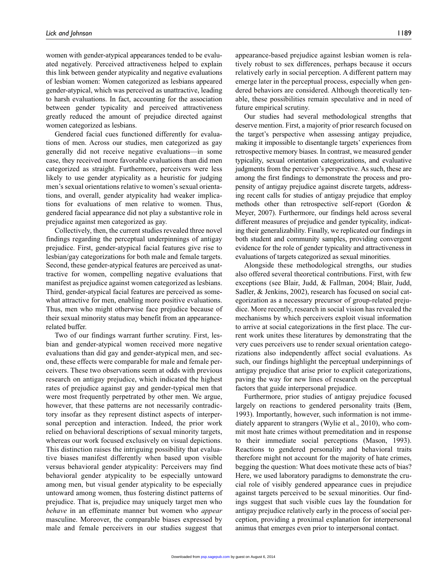women with gender-atypical appearances tended to be evaluated negatively. Perceived attractiveness helped to explain this link between gender atypicality and negative evaluations of lesbian women: Women categorized as lesbians appeared gender-atypical, which was perceived as unattractive, leading to harsh evaluations. In fact, accounting for the association between gender typicality and perceived attractiveness greatly reduced the amount of prejudice directed against women categorized as lesbians.

Gendered facial cues functioned differently for evaluations of men. Across our studies, men categorized as gay generally did not receive negative evaluations—in some case, they received more favorable evaluations than did men categorized as straight. Furthermore, perceivers were less likely to use gender atypicality as a heuristic for judging men's sexual orientations relative to women's sexual orientations, and overall, gender atypicality had weaker implications for evaluations of men relative to women. Thus, gendered facial appearance did not play a substantive role in prejudice against men categorized as gay.

Collectively, then, the current studies revealed three novel findings regarding the perceptual underpinnings of antigay prejudice. First, gender-atypical facial features give rise to lesbian/gay categorizations for both male and female targets. Second, these gender-atypical features are perceived as unattractive for women, compelling negative evaluations that manifest as prejudice against women categorized as lesbians. Third, gender-atypical facial features are perceived as somewhat attractive for men, enabling more positive evaluations. Thus, men who might otherwise face prejudice because of their sexual minority status may benefit from an appearancerelated buffer.

Two of our findings warrant further scrutiny. First, lesbian and gender-atypical women received more negative evaluations than did gay and gender-atypical men, and second, these effects were comparable for male and female perceivers. These two observations seem at odds with previous research on antigay prejudice, which indicated the highest rates of prejudice against gay and gender-typical men that were most frequently perpetrated by other men. We argue, however, that these patterns are not necessarily contradictory insofar as they represent distinct aspects of interpersonal perception and interaction. Indeed, the prior work relied on behavioral descriptions of sexual minority targets, whereas our work focused exclusively on visual depictions. This distinction raises the intriguing possibility that evaluative biases manifest differently when based upon visible versus behavioral gender atypicality: Perceivers may find behavioral gender atypicality to be especially untoward among men, but visual gender atypicality to be especially untoward among women, thus fostering distinct patterns of prejudice. That is, prejudice may uniquely target men who *behave* in an effeminate manner but women who *appear* masculine. Moreover, the comparable biases expressed by male and female perceivers in our studies suggest that

appearance-based prejudice against lesbian women is relatively robust to sex differences, perhaps because it occurs relatively early in social perception. A different pattern may emerge later in the perceptual process, especially when gendered behaviors are considered. Although theoretically tenable, these possibilities remain speculative and in need of future empirical scrutiny.

Our studies had several methodological strengths that deserve mention. First, a majority of prior research focused on the target's perspective when assessing antigay prejudice, making it impossible to disentangle targets' experiences from retrospective memory biases. In contrast, we measured gender typicality, sexual orientation categorizations, and evaluative judgments from the perceiver's perspective. As such, these are among the first findings to demonstrate the process and propensity of antigay prejudice against discrete targets, addressing recent calls for studies of antigay prejudice that employ methods other than retrospective self-report (Gordon & Meyer, 2007). Furthermore, our findings held across several different measures of prejudice and gender typicality, indicating their generalizability. Finally, we replicated our findings in both student and community samples, providing convergent evidence for the role of gender typicality and attractiveness in evaluations of targets categorized as sexual minorities.

Alongside these methodological strengths, our studies also offered several theoretical contributions. First, with few exceptions (see Blair, Judd, & Fallman, 2004; Blair, Judd, Sadler, & Jenkins, 2002), research has focused on social categorization as a necessary precursor of group-related prejudice. More recently, research in social vision has revealed the mechanisms by which perceivers exploit visual information to arrive at social categorizations in the first place. The current work unites these literatures by demonstrating that the very cues perceivers use to render sexual orientation categorizations also independently affect social evaluations. As such, our findings highlight the perceptual underpinnings of antigay prejudice that arise prior to explicit categorizations, paving the way for new lines of research on the perceptual factors that guide interpersonal prejudice.

Furthermore, prior studies of antigay prejudice focused largely on reactions to gendered personality traits (Bem, 1993). Importantly, however, such information is not immediately apparent to strangers (Wylie et al., 2010), who commit most hate crimes without premeditation and in response to their immediate social perceptions (Mason, 1993). Reactions to gendered personality and behavioral traits therefore might not account for the majority of hate crimes, begging the question: What does motivate these acts of bias? Here, we used laboratory paradigms to demonstrate the crucial role of visibly gendered appearance cues in prejudice against targets perceived to be sexual minorities. Our findings suggest that such visible cues lay the foundation for antigay prejudice relatively early in the process of social perception, providing a proximal explanation for interpersonal animus that emerges even prior to interpersonal contact.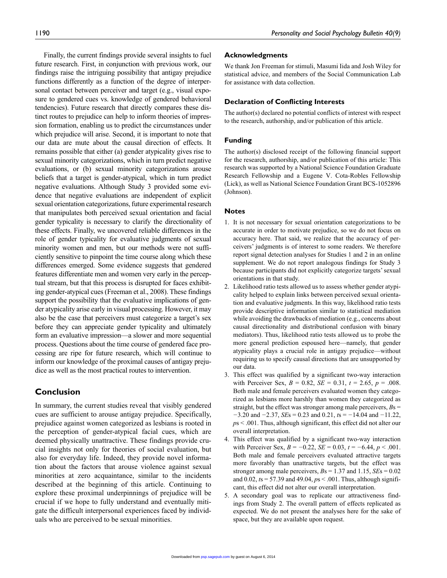Finally, the current findings provide several insights to fuel future research. First, in conjunction with previous work, our findings raise the intriguing possibility that antigay prejudice functions differently as a function of the degree of interpersonal contact between perceiver and target (e.g., visual exposure to gendered cues vs. knowledge of gendered behavioral tendencies). Future research that directly compares these distinct routes to prejudice can help to inform theories of impression formation, enabling us to predict the circumstances under which prejudice will arise. Second, it is important to note that our data are mute about the causal direction of effects. It remains possible that either (a) gender atypicality gives rise to sexual minority categorizations, which in turn predict negative evaluations, or (b) sexual minority categorizations arouse beliefs that a target is gender-atypical, which in turn predict negative evaluations. Although Study 3 provided some evidence that negative evaluations are independent of explicit sexual orientation categorizations, future experimental research that manipulates both perceived sexual orientation and facial gender typicality is necessary to clarify the directionality of these effects. Finally, we uncovered reliable differences in the role of gender typicality for evaluative judgments of sexual minority women and men, but our methods were not sufficiently sensitive to pinpoint the time course along which these differences emerged. Some evidence suggests that gendered features differentiate men and women very early in the perceptual stream, but that this process is disrupted for faces exhibiting gender-atypical cues (Freeman et al., 2008). These findings support the possibility that the evaluative implications of gender atypicality arise early in visual processing. However, it may also be the case that perceivers must categorize a target's sex before they can appreciate gender typicality and ultimately form an evaluative impression—a slower and more sequential process. Questions about the time course of gendered face processing are ripe for future research, which will continue to inform our knowledge of the proximal causes of antigay prejudice as well as the most practical routes to intervention.

# **Conclusion**

In summary, the current studies reveal that visibly gendered cues are sufficient to arouse antigay prejudice. Specifically, prejudice against women categorized as lesbians is rooted in the perception of gender-atypical facial cues, which are deemed physically unattractive. These findings provide crucial insights not only for theories of social evaluation, but also for everyday life. Indeed, they provide novel information about the factors that arouse violence against sexual minorities at zero acquaintance, similar to the incidents described at the beginning of this article. Continuing to explore these proximal underpinnings of prejudice will be crucial if we hope to fully understand and eventually mitigate the difficult interpersonal experiences faced by individuals who are perceived to be sexual minorities.

#### **Acknowledgments**

We thank Jon Freeman for stimuli, Masumi Iida and Josh Wiley for statistical advice, and members of the Social Communication Lab for assistance with data collection.

#### **Declaration of Conflicting Interests**

The author(s) declared no potential conflicts of interest with respect to the research, authorship, and/or publication of this article.

#### **Funding**

The author(s) disclosed receipt of the following financial support for the research, authorship, and/or publication of this article: This research was supported by a National Science Foundation Graduate Research Fellowship and a Eugene V. Cota-Robles Fellowship (Lick), as well as National Science Foundation Grant BCS-1052896 (Johnson).

#### **Notes**

- 1. It is not necessary for sexual orientation categorizations to be accurate in order to motivate prejudice, so we do not focus on accuracy here. That said, we realize that the accuracy of perceivers' judgments is of interest to some readers. We therefore report signal detection analyses for Studies 1 and 2 in an online supplement. We do not report analogous findings for Study 3 because participants did not explicitly categorize targets' sexual orientations in that study.
- 2. Likelihood ratio tests allowed us to assess whether gender atypicality helped to explain links between perceived sexual orientation and evaluative judgments. In this way, likelihood ratio tests provide descriptive information similar to statistical mediation while avoiding the drawbacks of mediation (e.g., concerns about causal directionality and distributional confusion with binary mediators). Thus, likelihood ratio tests allowed us to probe the more general prediction espoused here—namely, that gender atypicality plays a crucial role in antigay prejudice—without requiring us to specify causal directions that are unsupported by our data.
- 3. This effect was qualified by a significant two-way interaction with Perceiver Sex,  $B = 0.82$ ,  $SE = 0.31$ ,  $t = 2.65$ ,  $p = .008$ . Both male and female perceivers evaluated women they categorized as lesbians more harshly than women they categorized as straight, but the effect was stronger among male perceivers, *B*s = *−*3.20 and *−*2.37, *SE*s = 0.23 and 0.21, *t*s = *−*14.04 and *−*11.22, *p*s < .001. Thus, although significant, this effect did not alter our overall interpretation.
- 4. This effect was qualified by a significant two-way interaction with Perceiver Sex,  $B = -0.22$ ,  $SE = 0.03$ ,  $t = -6.44$ ,  $p < .001$ . Both male and female perceivers evaluated attractive targets more favorably than unattractive targets, but the effect was stronger among male perceivers, *B*s = 1.37 and 1.15, *SE*s = 0.02 and 0.02, *t*s = 57.39 and 49.04, *p*s < .001. Thus, although significant, this effect did not alter our overall interpretation.
- 5. A secondary goal was to replicate our attractiveness findings from Study 2. The overall pattern of effects replicated as expected. We do not present the analyses here for the sake of space, but they are available upon request.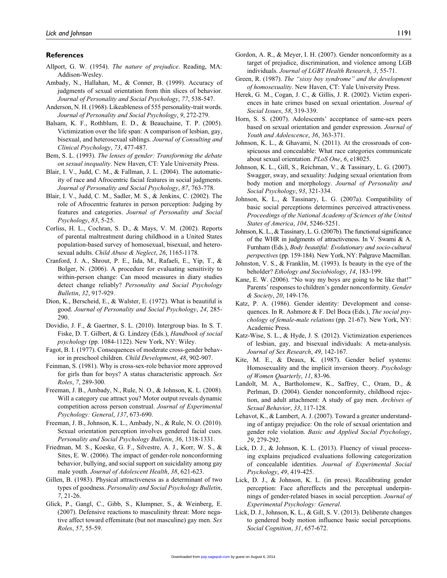#### **References**

- Allport, G. W. (1954). *The nature of prejudice*. Reading, MA: Addison-Wesley.
- Ambady, N., Hallahan, M., & Conner, B. (1999). Accuracy of judgments of sexual orientation from thin slices of behavior. *Journal of Personality and Social Psychology*, *77*, 538-547.
- Anderson, N. H. (1968). Likeableness of 555 personality-trait words. *Journal of Personality and Social Psychology*, *9*, 272-279.
- Balsam, K. F., Rothblum, E. D., & Beauchaine, T. P. (2005). Victimization over the life span: A comparison of lesbian, gay, bisexual, and heterosexual siblings. *Journal of Consulting and Clinical Psychology*, *73*, 477-487.
- Bem, S. L. (1993). *The lenses of gender: Transforming the debate on sexual inequality*. New Haven, CT: Yale University Press.
- Blair, I. V., Judd, C. M., & Fallman, J. L. (2004). The automaticity of race and Afrocentric facial features in social judgments. *Journal of Personality and Social Psychology*, *87*, 763-778.
- Blair, I. V., Judd, C. M., Sadler, M. S., & Jenkins, C. (2002). The role of Afrocentric features in person perception: Judging by features and categories. *Journal of Personality and Social Psychology*, *83*, 5-25.
- Corliss, H. L., Cochran, S. D., & Mays, V. M. (2002). Reports of parental maltreatment during childhood in a United States population-based survey of homosexual, bisexual, and heterosexual adults. *Child Abuse & Neglect*, *26*, 1165-1178.
- Cranford, J. A., Shrout, P. E., Iida, M., Rafaeli, E., Yip, T., & Bolger, N. (2006). A procedure for evaluating sensitivity to within-person change: Can mood measures in diary studies detect change reliably? *Personality and Social Psychology Bulletin*, *32*, 917-929.
- Dion, K., Berscheid, E., & Walster, E. (1972). What is beautiful is good. *Journal of Personality and Social Psychology*, *24*, 285- 290.
- Dovidio, J. F., & Gaertner, S. L. (2010). Intergroup bias. In S. T. Fiske, D. T. Gilbert, & G. Lindzey (Eds.), *Handbook of social psychology* (pp. 1084-1122). New York, NY: Wiley.
- Fagot, B. I. (1977). Consequences of moderate cross-gender behavior in preschool children. *Child Development*, *48*, 902-907.
- Feinman, S. (1981). Why is cross-sex-role behavior more approved for girls than for boys? A status characteristic approach. *Sex Roles*, *7*, 289-300.
- Freeman, J. B., Ambady, N., Rule, N. O., & Johnson, K. L. (2008). Will a category cue attract you? Motor output reveals dynamic competition across person construal. *Journal of Experimental Psychology: General*, *137*, 673-690.
- Freeman, J. B., Johnson, K. L., Ambady, N., & Rule, N. O. (2010). Sexual orientation perception involves gendered facial cues. *Personality and Social Psychology Bulletin*, *36*, 1318-1331.
- Friedman, M. S., Koeske, G. F., Silvestre, A. J., Korr, W. S., & Sites, E. W. (2006). The impact of gender-role nonconforming behavior, bullying, and social support on suicidality among gay male youth. *Journal of Adolescent Health*, *38*, 621-623.
- Gillen, B. (1983). Physical attractiveness as a determinant of two types of goodness. *Personality and Social Psychology Bulletin*, *7*, 21-26.
- Glick, P., Gangl, C., Gibb, S., Klumpner, S., & Weinberg, E. (2007). Defensive reactions to masculinity threat: More negative affect toward effeminate (but not masculine) gay men. *Sex Roles*, *57*, 55-59.
- Gordon, A. R., & Meyer, I. H. (2007). Gender nonconformity as a target of prejudice, discrimination, and violence among LGB individuals. *Journal of LGBT Health Research*, *3*, 55-71.
- Green, R. (1987). *The "sissy boy syndrome" and the development of homosexuality*. New Haven, CT: Yale University Press.
- Herek, G. M., Cogan, J. C., & Gillis, J. R. (2002). Victim experiences in hate crimes based on sexual orientation. *Journal of Social Issues*, *58*, 319-339.
- Horn, S. S. (2007). Adolescents' acceptance of same-sex peers based on sexual orientation and gender expression. *Journal of Youth and Adolescence*, *36*, 363-371.
- Johnson, K. L., & Ghavami, N. (2011). At the crossroads of conspicuous and concealable: What race categories communicate about sexual orientation. *PLoS One*, *6*, e18025.
- Johnson, K. L., Gill, S., Reichman, V., & Tassinary, L. G. (2007). Swagger, sway, and sexuality: Judging sexual orientation from body motion and morphology. *Journal of Personality and Social Psychology*, *93*, 321-334.
- Johnson, K. L., & Tassinary, L. G. (2007a). Compatibility of basic social perceptions determines perceived attractiveness. *Proceedings of the National Academy of Sciences of the United States of America*, *104*, 5246-5251.
- Johnson, K. L., & Tassinary, L. G. (2007b). The functional significance of the WHR in judgments of attractiveness. In V. Swami & A. Furnham (Eds.), *Body beautiful: Evolutionary and socio-cultural perspectives* (pp. 159-184). New York, NY: Palgrave Macmillan.
- Johnston, V. S., & Franklin, M. (1993). Is beauty in the eye of the beholder? *Ethology and Sociobiology*, *14*, 183-199.
- Kane, E. W. (2006). "No way my boys are going to be like that!" Parents' responses to children's gender nonconformity. *Gender & Society*, *20*, 149-176.
- Katz, P. A. (1986). Gender identity: Development and consequences. In R. Ashmore & F. Del Boca (Eds.), *The social psychology of female-male relations* (pp. 21-67). New York, NY: Academic Press.
- Katz-Wise, S. L., & Hyde, J. S. (2012). Victimization experiences of lesbian, gay, and bisexual individuals: A meta-analysis. *Journal of Sex Research*, *49*, 142-167.
- Kite, M. E., & Deaux, K. (1987). Gender belief systems: Homosexuality and the implicit inversion theory. *Psychology of Women Quarterly*, *11*, 83-96.
- Landolt, M. A., Bartholomew, K., Saffrey, C., Oram, D., & Perlman, D. (2004). Gender nonconformity, childhood rejection, and adult attachment: A study of gay men. *Archives of Sexual Behavior*, *33*, 117-128.
- Lehavot, K., & Lambert, A. J. (2007). Toward a greater understanding of antigay prejudice: On the role of sexual orientation and gender role violation. *Basic and Applied Social Psychology*, *29*, 279-292.
- Lick, D. J., & Johnson, K. L. (2013). Fluency of visual processing explains prejudiced evaluations following categorization of concealable identities. *Journal of Experimental Social Psychology*, *49*, 419-425.
- Lick, D. J., & Johnson, K. L. (in press). Recalibrating gender perception: Face aftereffects and the perceptual underpinnings of gender-related biases in social perception. *Journal of Experimental Psychology: General*.
- Lick, D. J., Johnson, K. L., & Gill, S. V. (2013). Deliberate changes to gendered body motion influence basic social perceptions. *Social Cognition*, *31*, 657-672.